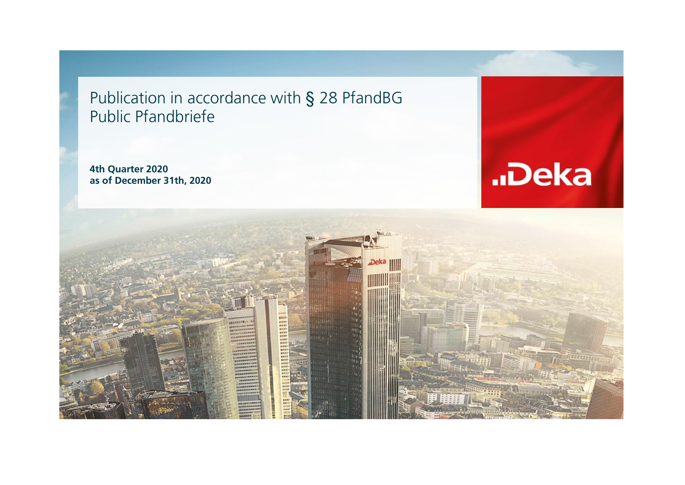Publication in accordance with § 28 PfandBG Public Pfandbriefe

**4th Quarter 2020 as of December 31th, 2020**



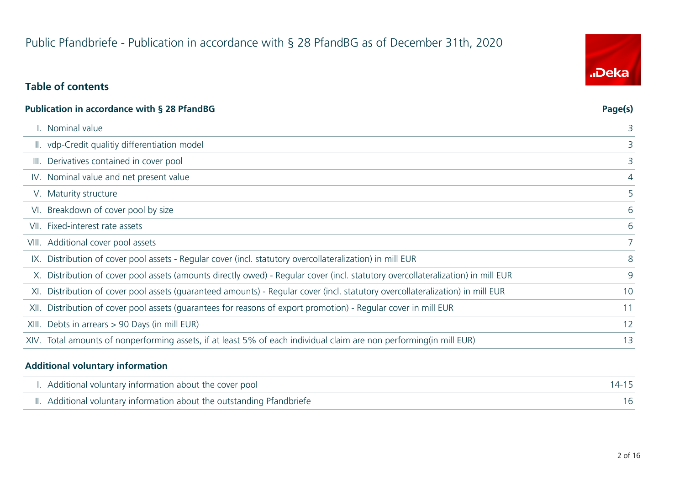# Public Pfandbriefe - Publication in accordance with § 28 PfandBG as of December 31th, 2020

# **Table of contents**

| <b>Publication in accordance with § 28 PfandBG</b>                                                                               | Page(s) |
|----------------------------------------------------------------------------------------------------------------------------------|---------|
| I. Nominal value                                                                                                                 | 3       |
| II. vdp-Credit qualitiy differentiation model                                                                                    | 3       |
| III. Derivatives contained in cover pool                                                                                         | 3       |
| IV. Nominal value and net present value                                                                                          | 4       |
| V. Maturity structure                                                                                                            | 5       |
| VI. Breakdown of cover pool by size                                                                                              | 6       |
| VII. Fixed-interest rate assets                                                                                                  | 6       |
| VIII. Additional cover pool assets                                                                                               | 7       |
| IX. Distribution of cover pool assets - Regular cover (incl. statutory overcollateralization) in mill EUR                        | 8       |
| X. Distribution of cover pool assets (amounts directly owed) - Regular cover (incl. statutory overcollateralization) in mill EUR | 9       |
| XI. Distribution of cover pool assets (quaranteed amounts) - Regular cover (incl. statutory overcollateralization) in mill EUR   | 10      |
| XII. Distribution of cover pool assets (quarantees for reasons of export promotion) - Regular cover in mill EUR                  | 11      |
| XIII. Debts in arrears > 90 Days (in mill EUR)                                                                                   | 12      |
| XIV. Total amounts of nonperforming assets, if at least 5% of each individual claim are non performing(in mill EUR)              | 13      |
|                                                                                                                                  |         |

#### **Additional voluntary information**

| I. Additional voluntary information about the cover pool               | $14 - 15$ |
|------------------------------------------------------------------------|-----------|
| II. Additional voluntary information about the outstanding Pfandbriefe |           |

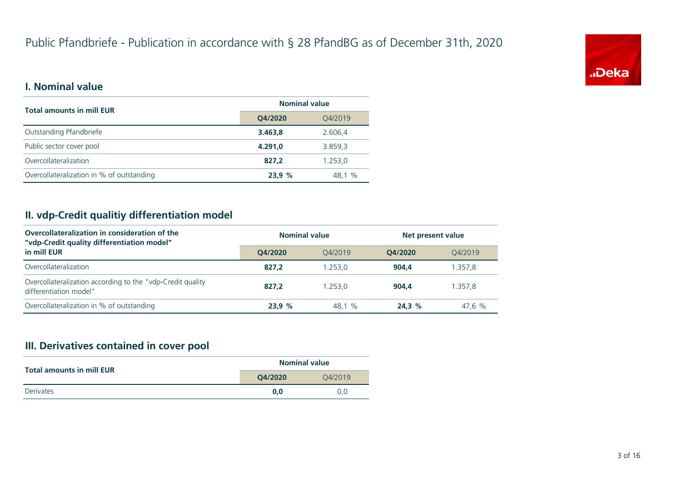

#### **I. Nominal value**

| <b>Total amounts in mill EUR</b>          | <b>Nominal value</b> |         |  |
|-------------------------------------------|----------------------|---------|--|
|                                           | Q4/2020              | Q4/2019 |  |
| Outstanding Pfandbriefe                   | 3.463.8              | 2.606.4 |  |
| Public sector cover pool                  | 4.291.0              | 3.859,3 |  |
| Overcollateralization                     | 827.2                | 1.253,0 |  |
| Overcollateralization in % of outstanding | 23.9%                | 48,1 %  |  |

# **II. vdp-Credit qualitiy differentiation model**

| Overcollateralization in consideration of the<br>"vdp-Credit quality differentiation model" | <b>Nominal value</b> |         | Net present value |         |  |
|---------------------------------------------------------------------------------------------|----------------------|---------|-------------------|---------|--|
| in mill EUR                                                                                 | O4/2020              | 04/2019 | O4/2020           | 04/2019 |  |
| Overcollateralization                                                                       | 827.2                | 1.253,0 | 904.4             | .357.8  |  |
| Overcollateralization according to the "vdp-Credit quality<br>differentiation model"        | 827.2                | 1.253.0 | 904.4             | 1.357.8 |  |
| Overcollateralization in % of outstanding                                                   | 23.9%                | 48.1 %  | 24.3%             | 47,6 %  |  |

#### **III. Derivatives contained in cover pool**

| <b>Total amounts in mill EUR</b> | <b>Nominal value</b> |         |
|----------------------------------|----------------------|---------|
|                                  | O4/2020              | 04/2019 |
| Derivates                        | 0.0                  | 0.0     |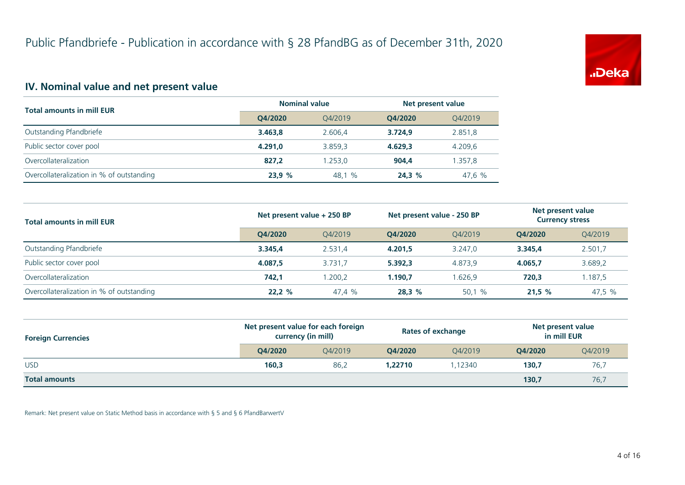

# **IV. Nominal value and net present value**

| <b>Total amounts in mill EUR</b>          | <b>Nominal value</b> |         | Net present value |         |
|-------------------------------------------|----------------------|---------|-------------------|---------|
|                                           | O4/2020              | 04/2019 | O4/2020           | 04/2019 |
| Outstanding Pfandbriefe                   | 3.463.8              | 2.606.4 | 3.724.9           | 2.851,8 |
| Public sector cover pool                  | 4.291.0              | 3.859.3 | 4.629.3           | 4.209,6 |
| Overcollateralization                     | 827.2                | 1.253.0 | 904.4             | 1.357,8 |
| Overcollateralization in % of outstanding | 23,9%                | 48,1 %  | 24.3%             | 47,6 %  |

| <b>Total amounts in mill EUR</b>          | Net present value + 250 BP |         | Net present value - 250 BP |         | Net present value<br><b>Currency stress</b> |         |
|-------------------------------------------|----------------------------|---------|----------------------------|---------|---------------------------------------------|---------|
|                                           | O4/2020                    | O4/2019 | O4/2020                    | O4/2019 | O4/2020                                     | Q4/2019 |
| Outstanding Pfandbriefe                   | 3.345.4                    | 2.531,4 | 4.201,5                    | 3.247.0 | 3.345.4                                     | 2.501,7 |
| Public sector cover pool                  | 4.087.5                    | 3.731.7 | 5.392.3                    | 4.873.9 | 4.065.7                                     | 3.689,2 |
| Overcollateralization                     | 742.1                      | 1.200.2 | 1.190.7                    | 1.626.9 | 720.3                                       | 1.187.5 |
| Overcollateralization in % of outstanding | 22.2%                      | 47.4 %  | 28,3%                      | 50,1 %  | 21.5%                                       | 47,5 %  |

| <b>Foreign Currencies</b> | Net present value for each foreign<br>currency (in mill) |         | <b>Rates of exchange</b> |         | Net present value<br>in mill EUR |         |
|---------------------------|----------------------------------------------------------|---------|--------------------------|---------|----------------------------------|---------|
|                           | O4/2020                                                  | O4/2019 | O4/2020                  | O4/2019 | O4/2020                          | Q4/2019 |
| <b>USD</b>                | 160,3                                                    | 86,2    | 1,22710                  | .12340  | 130,7                            | 76,7    |
| <b>Total amounts</b>      |                                                          |         |                          |         | 130,7                            | 76,7    |

Remark: Net present value on Static Method basis in accordance with § 5 and § 6 PfandBarwertV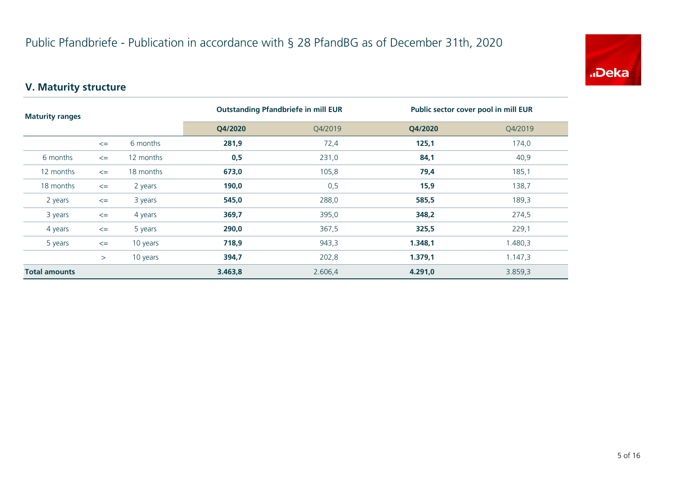

# **V. Maturity structure**

| <b>Maturity ranges</b> |        | <b>Outstanding Pfandbriefe in mill EUR</b> |         | Public sector cover pool in mill EUR |         |         |
|------------------------|--------|--------------------------------------------|---------|--------------------------------------|---------|---------|
|                        |        |                                            | Q4/2020 | Q4/2019                              | Q4/2020 | Q4/2019 |
|                        | $\leq$ | 6 months                                   | 281,9   | 72,4                                 | 125,1   | 174,0   |
| 6 months               | $\leq$ | 12 months                                  | 0,5     | 231,0                                | 84,1    | 40,9    |
| 12 months              | $\leq$ | 18 months                                  | 673,0   | 105,8                                | 79,4    | 185,1   |
| 18 months              | $\leq$ | 2 years                                    | 190,0   | 0,5                                  | 15,9    | 138,7   |
| 2 years                | $\leq$ | 3 years                                    | 545,0   | 288,0                                | 585,5   | 189,3   |
| 3 years                | $\leq$ | 4 years                                    | 369,7   | 395,0                                | 348,2   | 274,5   |
| 4 years                | $\leq$ | 5 years                                    | 290,0   | 367,5                                | 325,5   | 229,1   |
| 5 years                | $\leq$ | 10 years                                   | 718,9   | 943,3                                | 1.348,1 | 1.480,3 |
|                        | $\geq$ | 10 years                                   | 394,7   | 202,8                                | 1.379,1 | 1.147,3 |
| <b>Total amounts</b>   |        |                                            | 3.463,8 | 2.606,4                              | 4.291,0 | 3.859,3 |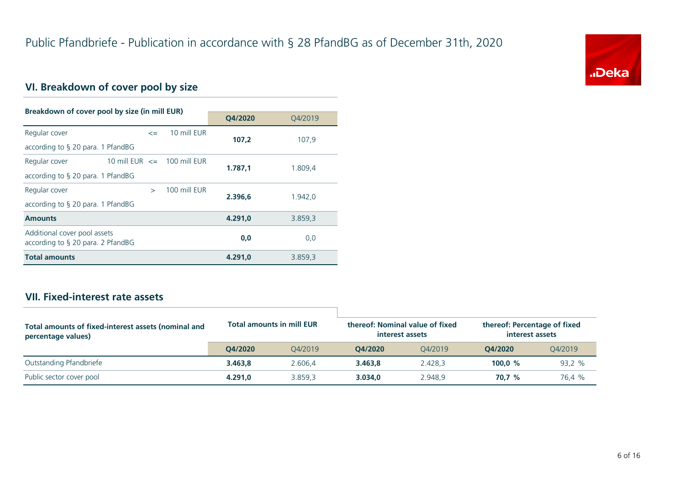

# **VI. Breakdown of cover pool by size**

| Breakdown of cover pool by size (in mill EUR)                        |                                |              |              |         |         |
|----------------------------------------------------------------------|--------------------------------|--------------|--------------|---------|---------|
|                                                                      |                                |              | O4/2020      | Q4/2019 |         |
| Regular cover                                                        |                                | $\leq$       | 10 mill EUR  | 107.2   | 107,9   |
| according to § 20 para. 1 PfandBG                                    |                                |              |              |         |         |
| Regular cover                                                        | 10 mill EUR $\le$ 100 mill EUR |              |              | 1.787,1 | 1.809,4 |
| according to $\S$ 20 para. 1 PfandBG                                 |                                |              |              |         |         |
| Regular cover                                                        |                                | $\mathbf{v}$ | 100 mill FUR | 2.396.6 | 1.942.0 |
| according to $\S$ 20 para. 1 PfandBG                                 |                                |              |              |         |         |
| <b>Amounts</b>                                                       |                                |              |              | 4.291.0 | 3.859,3 |
| Additional cover pool assets<br>according to $\S$ 20 para. 2 PfandBG |                                |              |              | 0,0     | 0,0     |
| <b>Total amounts</b>                                                 |                                |              |              | 4.291,0 | 3.859,3 |

### **VII. Fixed-interest rate assets**

| Total amounts of fixed-interest assets (nominal and<br>percentage values) | <b>Total amounts in mill EUR</b> |         | thereof: Nominal value of fixed<br>interest assets |         | thereof: Percentage of fixed<br>interest assets |         |
|---------------------------------------------------------------------------|----------------------------------|---------|----------------------------------------------------|---------|-------------------------------------------------|---------|
|                                                                           | O4/2020                          | 04/2019 | O4/2020                                            | O4/2019 | O4/2020                                         | O4/2019 |
| Outstanding Pfandbriefe                                                   | 3.463.8                          | 2.606.4 | 3.463.8                                            | 2.428.3 | 100.0 $%$                                       | 93,2 %  |
| Public sector cover pool                                                  | 4.291.0                          | 3.859.3 | 3.034.0                                            | 2.948.9 | 70.7 %                                          | 76.4 %  |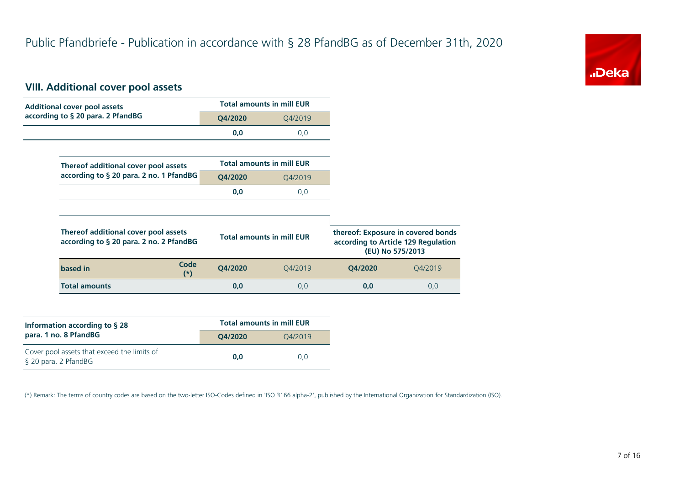

#### **VIII. Additional cover pool assets**

| <b>Additional cover pool assets</b>                                             |         | <b>Total amounts in mill EUR</b> |         |                                                                                               |
|---------------------------------------------------------------------------------|---------|----------------------------------|---------|-----------------------------------------------------------------------------------------------|
| according to § 20 para. 2 PfandBG                                               | Q4/2020 | Q4/2019                          |         |                                                                                               |
|                                                                                 | 0,0     | 0,0                              |         |                                                                                               |
|                                                                                 |         |                                  |         |                                                                                               |
| Thereof additional cover pool assets                                            |         | <b>Total amounts in mill EUR</b> |         |                                                                                               |
| according to § 20 para. 2 no. 1 PfandBG                                         | Q4/2020 | Q4/2019                          |         |                                                                                               |
|                                                                                 | 0,0     | 0,0                              |         |                                                                                               |
|                                                                                 |         |                                  |         |                                                                                               |
| Thereof additional cover pool assets<br>according to § 20 para. 2 no. 2 PfandBG |         | <b>Total amounts in mill EUR</b> |         | thereof: Exposure in covered bonds<br>according to Article 129 Regulation<br>(EU) No 575/2013 |
| Code<br>based in<br>$(*)$                                                       | Q4/2020 | Q4/2019                          | Q4/2020 | Q4/2019                                                                                       |
|                                                                                 | 0,0     | 0,0                              | 0,0     | 0,0                                                                                           |

| Information according to $\S$ 28                                    | <b>Total amounts in mill EUR</b> |         |  |  |
|---------------------------------------------------------------------|----------------------------------|---------|--|--|
| para. 1 no. 8 PfandBG                                               | O4/2020                          | 04/2019 |  |  |
| Cover pool assets that exceed the limits of<br>§ 20 para. 2 PfandBG | 0.0                              | 0.0     |  |  |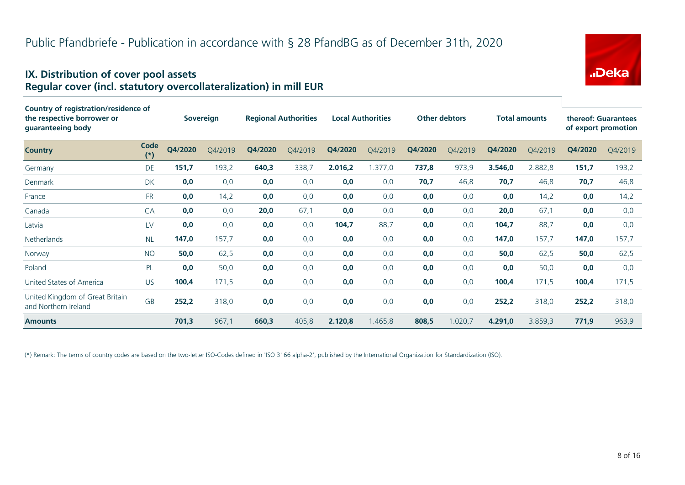# "Deka

#### **IX. Distribution of cover pool assets Regular cover (incl. statutory overcollateralization) in mill EUR**

| Country of registration/residence of                    |               |         |           |         |                             |         |                          |         |                      |         |                      |                     |                     |
|---------------------------------------------------------|---------------|---------|-----------|---------|-----------------------------|---------|--------------------------|---------|----------------------|---------|----------------------|---------------------|---------------------|
| the respective borrower or<br>guaranteeing body         |               |         | Sovereign |         | <b>Regional Authorities</b> |         | <b>Local Authorities</b> |         | <b>Other debtors</b> |         | <b>Total amounts</b> | thereof: Guarantees | of export promotion |
| <b>Country</b>                                          | Code<br>$(*)$ | Q4/2020 | Q4/2019   | Q4/2020 | Q4/2019                     | Q4/2020 | Q4/2019                  | Q4/2020 | Q4/2019              | Q4/2020 | Q4/2019              | Q4/2020             | Q4/2019             |
| Germany                                                 | DE            | 151,7   | 193,2     | 640,3   | 338,7                       | 2.016,2 | 1.377,0                  | 737,8   | 973,9                | 3.546,0 | 2.882,8              | 151,7               | 193,2               |
| Denmark                                                 | DK            | 0,0     | 0,0       | 0,0     | 0,0                         | 0,0     | 0,0                      | 70,7    | 46,8                 | 70,7    | 46,8                 | 70,7                | 46,8                |
| France                                                  | <b>FR</b>     | 0,0     | 14,2      | 0,0     | 0,0                         | 0,0     | 0,0                      | 0,0     | 0,0                  | 0,0     | 14,2                 | 0,0                 | 14,2                |
| Canada                                                  | CA            | 0,0     | 0,0       | 20,0    | 67,1                        | 0,0     | 0,0                      | 0,0     | 0,0                  | 20,0    | 67,1                 | 0,0                 | 0,0                 |
| Latvia                                                  | LV            | 0,0     | 0,0       | 0,0     | 0,0                         | 104,7   | 88,7                     | 0,0     | 0,0                  | 104,7   | 88,7                 | 0,0                 | 0,0                 |
| Netherlands                                             | <b>NL</b>     | 147,0   | 157,7     | 0,0     | 0,0                         | 0,0     | 0,0                      | 0,0     | 0,0                  | 147,0   | 157,7                | 147,0               | 157,7               |
| Norway                                                  | <b>NO</b>     | 50,0    | 62,5      | 0,0     | 0,0                         | 0,0     | 0,0                      | 0,0     | 0,0                  | 50,0    | 62,5                 | 50,0                | 62,5                |
| Poland                                                  | PL            | 0,0     | 50,0      | 0,0     | 0,0                         | 0,0     | 0,0                      | 0,0     | 0,0                  | 0,0     | 50,0                 | 0,0                 | 0,0                 |
| United States of America                                | <b>US</b>     | 100,4   | 171,5     | 0,0     | 0,0                         | 0,0     | 0,0                      | 0,0     | 0,0                  | 100,4   | 171,5                | 100,4               | 171,5               |
| United Kingdom of Great Britain<br>and Northern Ireland | <b>GB</b>     | 252,2   | 318,0     | 0,0     | 0,0                         | 0,0     | 0,0                      | 0,0     | 0,0                  | 252,2   | 318,0                | 252,2               | 318,0               |
| <b>Amounts</b>                                          |               | 701,3   | 967,1     | 660,3   | 405,8                       | 2.120,8 | 1.465,8                  | 808,5   | 1.020,7              | 4.291,0 | 3.859,3              | 771,9               | 963,9               |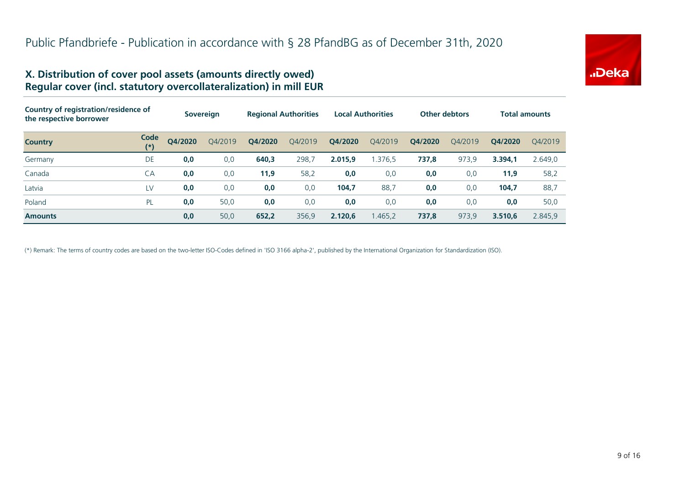

#### **X. Distribution of cover pool assets (amounts directly owed) Regular cover (incl. statutory overcollateralization) in mill EUR**

| Country of registration/residence of<br>the respective borrower |               | <b>Sovereign</b> |         | <b>Regional Authorities</b> |         | <b>Local Authorities</b> |         | <b>Other debtors</b> |         | <b>Total amounts</b> |         |
|-----------------------------------------------------------------|---------------|------------------|---------|-----------------------------|---------|--------------------------|---------|----------------------|---------|----------------------|---------|
| <b>Country</b>                                                  | Code<br>$(*)$ | O4/2020          | O4/2019 | Q4/2020                     | O4/2019 | Q4/2020                  | Q4/2019 | Q4/2020              | O4/2019 | O4/2020              | 04/2019 |
| Germany                                                         | DE            | 0,0              | 0,0     | 640,3                       | 298,7   | 2.015.9                  | .376.5  | 737,8                | 973,9   | 3.394.1              | 2.649,0 |
| Canada                                                          | CA            | 0,0              | 0,0     | 11,9                        | 58,2    | 0,0                      | 0,0     | 0,0                  | 0,0     | 11,9                 | 58,2    |
| Latvia                                                          | LV            | 0,0              | 0,0     | 0,0                         | 0,0     | 104,7                    | 88,7    | 0,0                  | 0,0     | 104,7                | 88,7    |
| Poland                                                          | PL            | 0,0              | 50,0    | 0,0                         | 0,0     | 0,0                      | 0,0     | 0,0                  | 0,0     | 0,0                  | 50,0    |
| <b>Amounts</b>                                                  |               | 0,0              | 50,0    | 652,2                       | 356,9   | 2.120.6                  | 1.465,2 | 737,8                | 973,9   | 3.510.6              | 2.845,9 |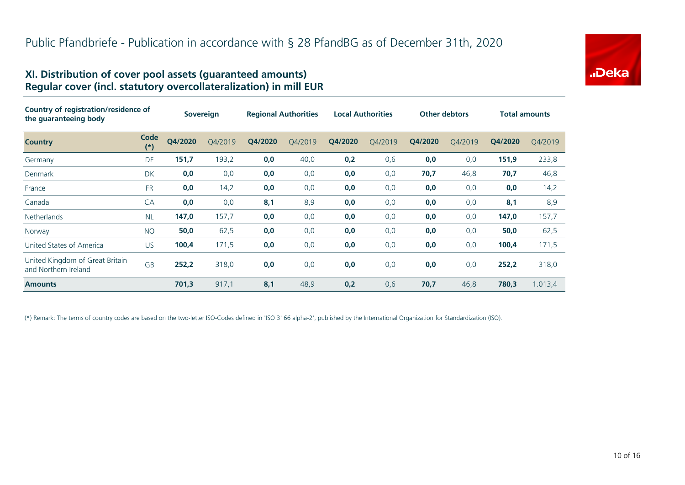

#### **XI. Distribution of cover pool assets (guaranteed amounts) Regular cover (incl. statutory overcollateralization) in mill EUR**

| Country of registration/residence of<br>the quaranteeing body |               | <b>Sovereign</b> |         | <b>Regional Authorities</b> |         | <b>Local Authorities</b> |         | <b>Other debtors</b> |         | <b>Total amounts</b> |         |
|---------------------------------------------------------------|---------------|------------------|---------|-----------------------------|---------|--------------------------|---------|----------------------|---------|----------------------|---------|
| <b>Country</b>                                                | Code<br>$(*)$ | Q4/2020          | Q4/2019 | Q4/2020                     | Q4/2019 | Q4/2020                  | Q4/2019 | Q4/2020              | Q4/2019 | Q4/2020              | Q4/2019 |
| Germany                                                       | <b>DE</b>     | 151,7            | 193,2   | 0,0                         | 40,0    | 0,2                      | 0,6     | 0,0                  | 0,0     | 151,9                | 233,8   |
| Denmark                                                       | DK            | 0,0              | 0,0     | 0,0                         | 0,0     | 0,0                      | 0,0     | 70,7                 | 46,8    | 70,7                 | 46,8    |
| France                                                        | <b>FR</b>     | 0,0              | 14,2    | 0,0                         | 0,0     | 0,0                      | 0,0     | 0,0                  | 0,0     | 0,0                  | 14,2    |
| Canada                                                        | CA            | 0,0              | 0,0     | 8,1                         | 8,9     | 0,0                      | 0,0     | 0,0                  | 0,0     | 8,1                  | 8,9     |
| <b>Netherlands</b>                                            | <b>NL</b>     | 147,0            | 157,7   | 0,0                         | 0,0     | 0,0                      | 0,0     | 0,0                  | 0,0     | 147,0                | 157,7   |
| Norway                                                        | <b>NO</b>     | 50,0             | 62,5    | 0,0                         | 0,0     | 0,0                      | 0,0     | 0,0                  | 0,0     | 50,0                 | 62,5    |
| United States of America                                      | <b>US</b>     | 100,4            | 171,5   | 0,0                         | 0,0     | 0,0                      | 0,0     | 0,0                  | 0,0     | 100,4                | 171,5   |
| United Kingdom of Great Britain<br>and Northern Ireland       | <b>GB</b>     | 252,2            | 318,0   | 0,0                         | 0,0     | 0,0                      | 0,0     | 0,0                  | 0,0     | 252,2                | 318,0   |
| <b>Amounts</b>                                                |               | 701,3            | 917,1   | 8,1                         | 48,9    | 0,2                      | 0,6     | 70,7                 | 46,8    | 780,3                | 1.013,4 |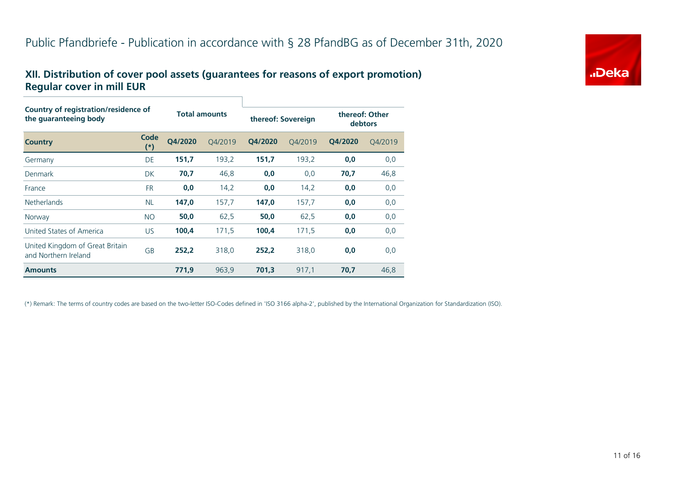# **XII. Distribution of cover pool assets (guarantees for reasons of export promotion) Regular cover in mill EUR**

| Country of registration/residence of<br>the quaranteeing body |               |         | <b>Total amounts</b> |         | thereof: Sovereign | thereof: Other<br>debtors |         |  |
|---------------------------------------------------------------|---------------|---------|----------------------|---------|--------------------|---------------------------|---------|--|
| <b>Country</b>                                                | Code<br>$(*)$ | O4/2020 | O4/2019              | O4/2020 | O4/2019            | Q4/2020                   | Q4/2019 |  |
| Germany                                                       | DE            | 151,7   | 193,2                | 151,7   | 193,2              | 0,0                       | 0,0     |  |
| Denmark                                                       | <b>DK</b>     | 70,7    | 46,8                 | 0,0     | 0,0                | 70,7                      | 46,8    |  |
| France                                                        | <b>FR</b>     | 0,0     | 14,2                 | 0,0     | 14,2               | 0,0                       | 0,0     |  |
| <b>Netherlands</b>                                            | <b>NL</b>     | 147,0   | 157,7                | 147,0   | 157,7              | 0,0                       | 0,0     |  |
| Norway                                                        | <b>NO</b>     | 50,0    | 62,5                 | 50,0    | 62,5               | 0,0                       | 0,0     |  |
| United States of America                                      | <b>US</b>     | 100,4   | 171,5                | 100,4   | 171,5              | 0,0                       | 0,0     |  |
| United Kingdom of Great Britain<br>and Northern Ireland       | GB            | 252,2   | 318,0                | 252.2   | 318,0              | 0,0                       | 0,0     |  |
| <b>Amounts</b>                                                |               | 771,9   | 963,9                | 701,3   | 917,1              | 70,7                      | 46,8    |  |

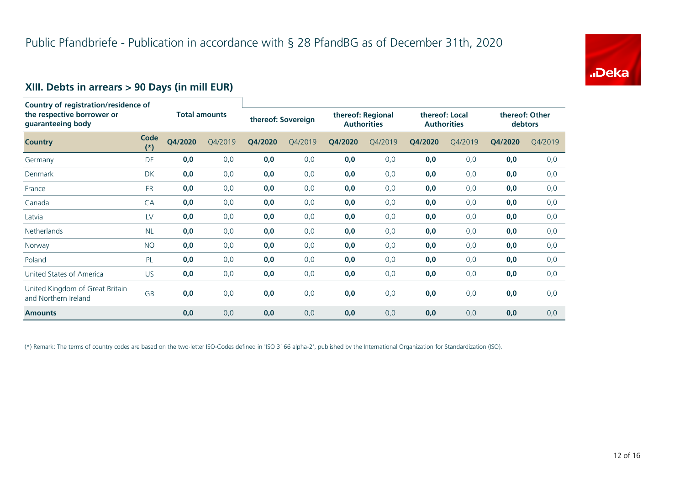

# **XIII. Debts in arrears > 90 Days (in mill EUR)**

| Country of registration/residence of<br>the respective borrower or<br>guaranteeing body |               | <b>Total amounts</b> |         |         | thereof: Sovereign |         | thereof: Regional<br><b>Authorities</b> |         | thereof: Local<br><b>Authorities</b> |         | thereof: Other<br>debtors |  |
|-----------------------------------------------------------------------------------------|---------------|----------------------|---------|---------|--------------------|---------|-----------------------------------------|---------|--------------------------------------|---------|---------------------------|--|
| <b>Country</b>                                                                          | Code<br>$(*)$ | Q4/2020              | Q4/2019 | Q4/2020 | Q4/2019            | Q4/2020 | Q4/2019                                 | Q4/2020 | Q4/2019                              | Q4/2020 | Q4/2019                   |  |
| Germany                                                                                 | DE            | 0,0                  | 0,0     | 0,0     | 0,0                | 0,0     | 0,0                                     | 0,0     | 0,0                                  | 0,0     | 0,0                       |  |
| Denmark                                                                                 | <b>DK</b>     | 0,0                  | 0,0     | 0,0     | 0,0                | 0,0     | 0,0                                     | 0,0     | 0,0                                  | 0,0     | 0,0                       |  |
| France                                                                                  | <b>FR</b>     | 0,0                  | 0,0     | 0,0     | 0,0                | 0,0     | 0,0                                     | 0,0     | 0,0                                  | 0,0     | 0,0                       |  |
| Canada                                                                                  | CA            | 0,0                  | 0,0     | 0,0     | 0,0                | 0,0     | 0,0                                     | 0,0     | 0,0                                  | 0,0     | 0,0                       |  |
| Latvia                                                                                  | LV            | 0,0                  | 0,0     | 0,0     | 0,0                | 0,0     | 0,0                                     | 0,0     | 0,0                                  | 0,0     | 0,0                       |  |
| <b>Netherlands</b>                                                                      | <b>NL</b>     | 0,0                  | 0,0     | 0,0     | 0,0                | 0,0     | 0,0                                     | 0,0     | 0,0                                  | 0,0     | 0,0                       |  |
| Norway                                                                                  | <b>NO</b>     | 0,0                  | 0,0     | 0,0     | 0,0                | 0,0     | 0,0                                     | 0,0     | 0,0                                  | 0,0     | 0,0                       |  |
| Poland                                                                                  | PL            | 0,0                  | 0,0     | 0,0     | 0,0                | 0,0     | 0,0                                     | 0,0     | 0,0                                  | 0,0     | 0,0                       |  |
| United States of America                                                                | US.           | 0,0                  | 0,0     | 0,0     | 0,0                | 0,0     | 0,0                                     | 0,0     | 0,0                                  | 0,0     | 0,0                       |  |
| United Kingdom of Great Britain<br>and Northern Ireland                                 | GB            | 0,0                  | 0,0     | 0,0     | 0,0                | 0,0     | 0,0                                     | 0,0     | 0,0                                  | 0,0     | 0,0                       |  |
| <b>Amounts</b>                                                                          |               | 0,0                  | 0,0     | 0,0     | 0,0                | 0,0     | 0,0                                     | 0,0     | 0,0                                  | 0,0     | 0,0                       |  |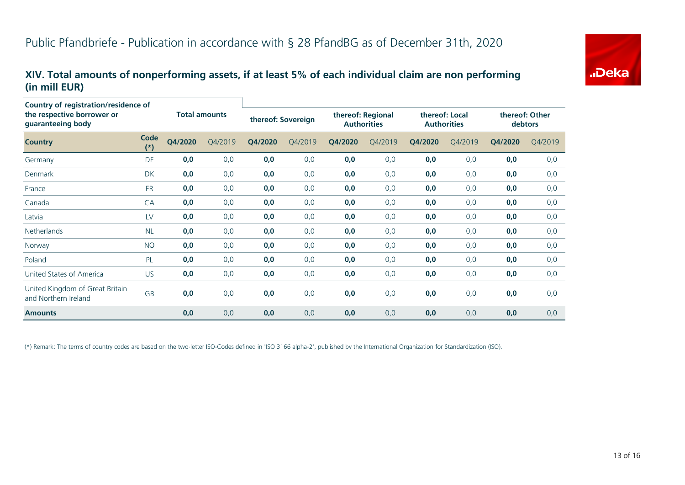

#### **XIV. Total amounts of nonperforming assets, if at least 5% of each individual claim are non performing (in mill EUR)**

| Country of registration/residence of                    |               |                      |         |                    |         |         |                                         |         |                                      |         |                           |  |
|---------------------------------------------------------|---------------|----------------------|---------|--------------------|---------|---------|-----------------------------------------|---------|--------------------------------------|---------|---------------------------|--|
| the respective borrower or<br>guaranteeing body         |               | <b>Total amounts</b> |         | thereof: Sovereign |         |         | thereof: Regional<br><b>Authorities</b> |         | thereof: Local<br><b>Authorities</b> |         | thereof: Other<br>debtors |  |
| <b>Country</b>                                          | Code<br>$(*)$ | Q4/2020              | Q4/2019 | Q4/2020            | Q4/2019 | Q4/2020 | Q4/2019                                 | Q4/2020 | Q4/2019                              | Q4/2020 | Q4/2019                   |  |
| Germany                                                 | DE            | 0,0                  | 0,0     | 0,0                | 0,0     | 0,0     | 0,0                                     | 0,0     | 0,0                                  | 0,0     | 0,0                       |  |
| Denmark                                                 | <b>DK</b>     | 0,0                  | 0,0     | 0,0                | 0,0     | 0,0     | 0,0                                     | 0,0     | 0,0                                  | 0,0     | 0,0                       |  |
| France                                                  | <b>FR</b>     | 0,0                  | 0,0     | 0,0                | 0,0     | 0,0     | 0, 0                                    | 0,0     | 0,0                                  | 0,0     | 0,0                       |  |
| Canada                                                  | CA            | 0,0                  | 0,0     | 0,0                | 0,0     | 0,0     | 0,0                                     | 0,0     | 0,0                                  | 0,0     | 0,0                       |  |
| Latvia                                                  | LV            | 0,0                  | 0,0     | 0,0                | 0,0     | 0,0     | 0,0                                     | 0,0     | 0,0                                  | 0,0     | 0,0                       |  |
| <b>Netherlands</b>                                      | <b>NL</b>     | 0,0                  | 0,0     | 0,0                | 0,0     | 0,0     | 0,0                                     | 0,0     | 0,0                                  | 0,0     | 0,0                       |  |
| Norway                                                  | <b>NO</b>     | 0,0                  | 0,0     | 0,0                | 0,0     | 0,0     | 0,0                                     | 0,0     | 0,0                                  | 0,0     | 0,0                       |  |
| Poland                                                  | PL            | 0,0                  | 0,0     | 0,0                | 0,0     | 0,0     | 0, 0                                    | 0,0     | 0,0                                  | 0,0     | 0,0                       |  |
| United States of America                                | <b>US</b>     | 0,0                  | 0,0     | 0,0                | 0,0     | 0,0     | 0,0                                     | 0,0     | 0,0                                  | 0,0     | 0,0                       |  |
| United Kingdom of Great Britain<br>and Northern Ireland | GB            | 0,0                  | 0,0     | 0,0                | 0,0     | 0,0     | 0,0                                     | 0,0     | 0,0                                  | 0,0     | 0,0                       |  |
| <b>Amounts</b>                                          |               | 0,0                  | 0,0     | 0,0                | 0,0     | 0,0     | 0,0                                     | 0,0     | 0,0                                  | 0,0     | 0,0                       |  |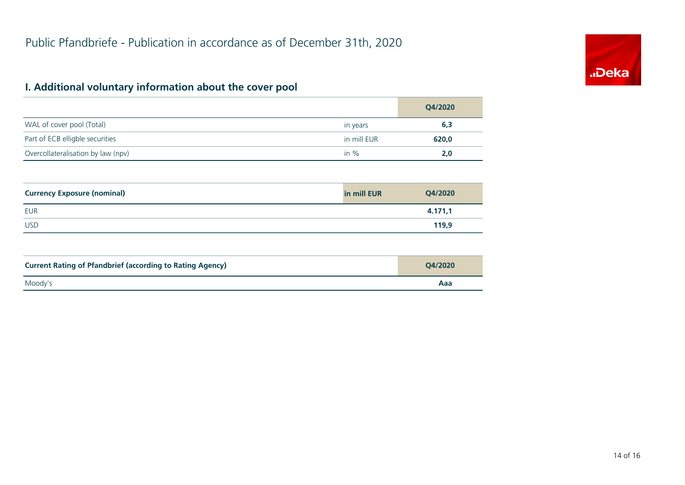# "Deka

# **I. Additional voluntary information about the cover pool**

|                                    |             | Q4/2020 |
|------------------------------------|-------------|---------|
| WAL of cover pool (Total)          | in years    | 6,3     |
| Part of ECB elligble securities    | in mill EUR | 620,0   |
| Overcollateralisation by law (npv) | in $%$      | 2,0     |

| <b>Currency Exposure (nominal)</b> | in mill EUR | Q4/2020 |
|------------------------------------|-------------|---------|
| <b>EUR</b>                         |             | 4.171,1 |
| <b>USD</b>                         |             | 119,9   |

| <b>Current Rating of Pfandbrief (according to Rating Agency)</b> | O4/2020 |
|------------------------------------------------------------------|---------|
| Moody's                                                          | Aaa     |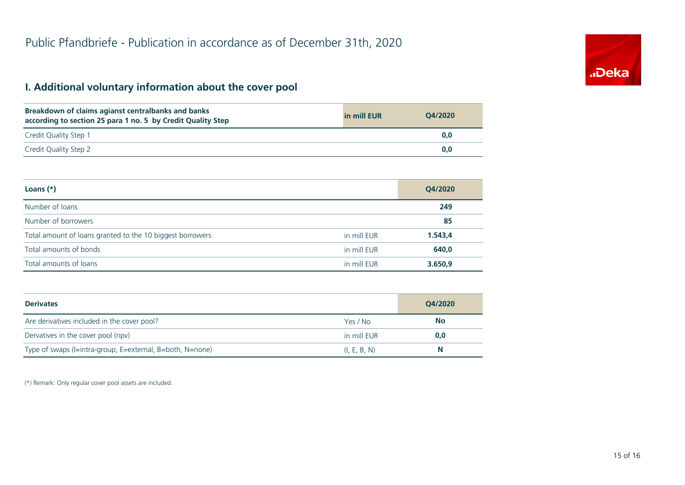# "Deka

# **I. Additional voluntary information about the cover pool**

| Breakdown of claims agianst centralbanks and banks<br>according to section 25 para 1 no. 5 by Credit Quality Step | in mill EUR | O4/2020 |
|-------------------------------------------------------------------------------------------------------------------|-------------|---------|
| Credit Quality Step 1                                                                                             |             | 0.0     |
| Credit Quality Step 2                                                                                             |             | 0.0     |

| Loans $(*)$                                               |             | Q4/2020 |
|-----------------------------------------------------------|-------------|---------|
| Number of loans                                           |             | 249     |
| Number of borrowers                                       |             | 85      |
| Total amount of loans granted to the 10 biggest borrowers | in mill EUR | 1.543,4 |
| Total amounts of bonds                                    | in mill EUR | 640,0   |
| Total amounts of loans                                    | in mill EUR | 3.650,9 |

| <b>Derivates</b>                                          |              | Q4/2020   |  |
|-----------------------------------------------------------|--------------|-----------|--|
| Are derivatives included in the cover pool?               | Yes / No     | <b>No</b> |  |
| Dervatives in the cover pool (npv)                        | in mill EUR  | 0,0       |  |
| Type of swaps (I=intra-group, E=external, B=both, N=none) | (I, E, B, N) | N         |  |

(\*) Remark: Only regular cover pool assets are included.